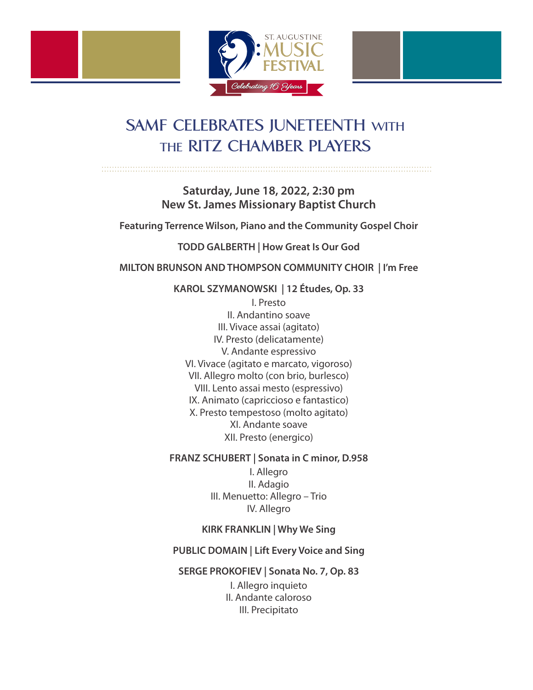



> **Saturday, June 18, 2022, 2:30 pm New St. James Missionary Baptist Church**

**Featuring Terrence Wilson, Piano and the Community Gospel Choir**

**TODD GALBERTH | How Great Is Our God** 

**MILTON BRUNSON AND THOMPSON COMMUNITY CHOIR | I'm Free**

**KAROL SZYMANOWSKI | 12 Études, Op. 33**

I. Presto II. Andantino soave III. Vivace assai (agitato) IV. Presto (delicatamente) V. Andante espressivo VI. Vivace (agitato e marcato, vigoroso) VII. Allegro molto (con brio, burlesco) VIII. Lento assai mesto (espressivo) IX. Animato (capriccioso e fantastico) X. Presto tempestoso (molto agitato) XI. Andante soave XII. Presto (energico)

**FRANZ SCHUBERT | Sonata in C minor, D.958**

I. Allegro II. Adagio III. Menuetto: Allegro – Trio IV. Allegro

**KIRK FRANKLIN | Why We Sing** 

**PUBLIC DOMAIN | Lift Every Voice and Sing** 

**SERGE PROKOFIEV | Sonata No. 7, Op. 83**

I. Allegro inquieto II. Andante caloroso III. Precipitato